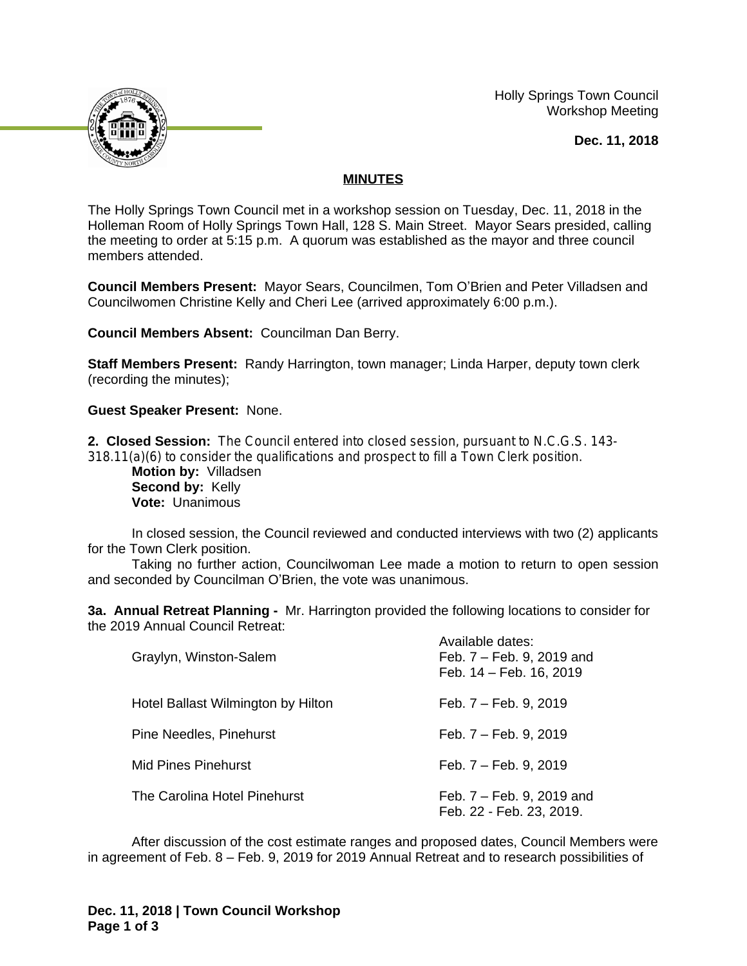

 Holly Springs Town Council Workshop Meeting

**Dec. 11, 2018**

#### **MINUTES**

The Holly Springs Town Council met in a workshop session on Tuesday, Dec. 11, 2018 in the Holleman Room of Holly Springs Town Hall, 128 S. Main Street. Mayor Sears presided, calling the meeting to order at 5:15 p.m. A quorum was established as the mayor and three council members attended.

**Council Members Present:** Mayor Sears, Councilmen, Tom O'Brien and Peter Villadsen and Councilwomen Christine Kelly and Cheri Lee (arrived approximately 6:00 p.m.).

**Council Members Absent:** Councilman Dan Berry.

**Staff Members Present:** Randy Harrington, town manager; Linda Harper, deputy town clerk (recording the minutes);

**Guest Speaker Present:** None.

**2. Closed Session:** The Council entered into closed session, pursuant to N.C.G.S. 143- 318.11(a)(6) to consider the qualifications and prospect to fill a Town Clerk position.

**Motion by:** Villadsen Second by: Kelly **Vote:** Unanimous

In closed session, the Council reviewed and conducted interviews with two (2) applicants for the Town Clerk position.

Taking no further action, Councilwoman Lee made a motion to return to open session and seconded by Councilman O'Brien, the vote was unanimous.

**3a. Annual Retreat Planning -** Mr. Harrington provided the following locations to consider for the 2019 Annual Council Retreat:

| Graylyn, Winston-Salem             | Available dates:<br>Feb. 7 – Feb. 9, 2019 and<br>Feb. 14 - Feb. 16, 2019 |
|------------------------------------|--------------------------------------------------------------------------|
| Hotel Ballast Wilmington by Hilton | Feb. 7 – Feb. 9, 2019                                                    |
| Pine Needles, Pinehurst            | Feb. 7 – Feb. 9, 2019                                                    |
| Mid Pines Pinehurst                | Feb. 7 – Feb. 9, 2019                                                    |
| The Carolina Hotel Pinehurst       | Feb. 7 – Feb. 9, 2019 and<br>Feb. 22 - Feb. 23, 2019.                    |

After discussion of the cost estimate ranges and proposed dates, Council Members were in agreement of Feb. 8 – Feb. 9, 2019 for 2019 Annual Retreat and to research possibilities of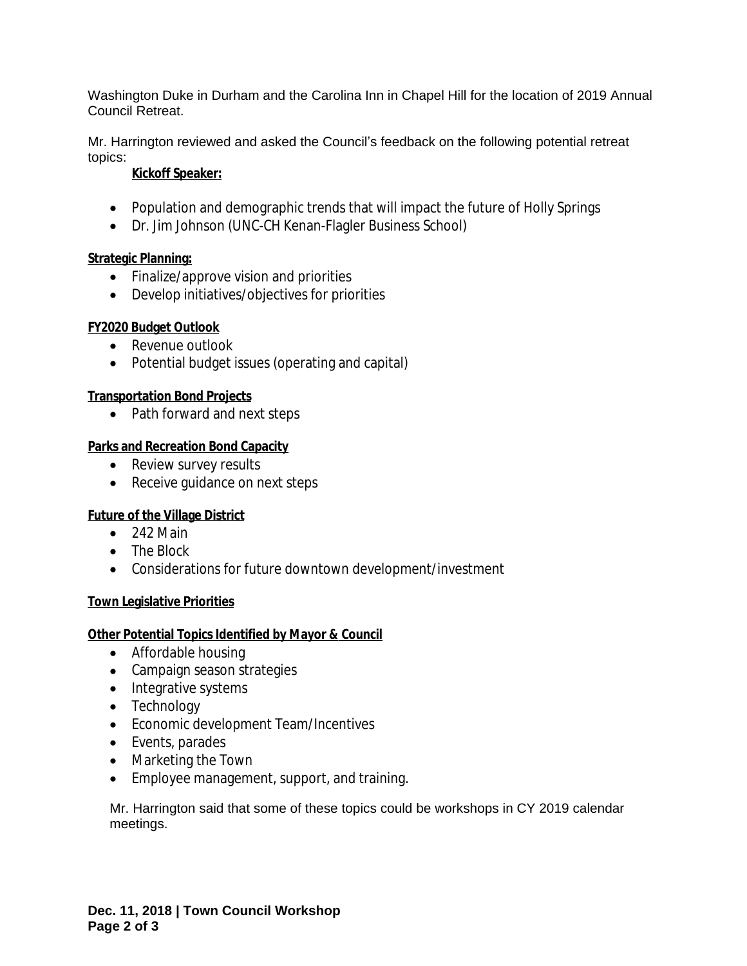Washington Duke in Durham and the Carolina Inn in Chapel Hill for the location of 2019 Annual Council Retreat.

Mr. Harrington reviewed and asked the Council's feedback on the following potential retreat topics:

### **Kickoff Speaker:**

- Population and demographic trends that will impact the future of Holly Springs
- Dr. Jim Johnson (UNC-CH Kenan-Flagler Business School)

# **Strategic Planning:**

- Finalize/approve vision and priorities
- Develop initiatives/objectives for priorities

#### **FY2020 Budget Outlook**

- Revenue outlook
- Potential budget issues (operating and capital)

# **Transportation Bond Projects**

• Path forward and next steps

#### **Parks and Recreation Bond Capacity**

- Review survey results
- Receive guidance on next steps

# **Future of the Village District**

- $\bullet$  242 Main
- The Block
- Considerations for future downtown development/investment

# **Town Legislative Priorities**

#### **Other Potential Topics Identified by Mayor & Council**

- Affordable housing
- Campaign season strategies
- Integrative systems
- Technology
- Economic development Team/Incentives
- Events, parades
- Marketing the Town
- Employee management, support, and training.

Mr. Harrington said that some of these topics could be workshops in CY 2019 calendar meetings.